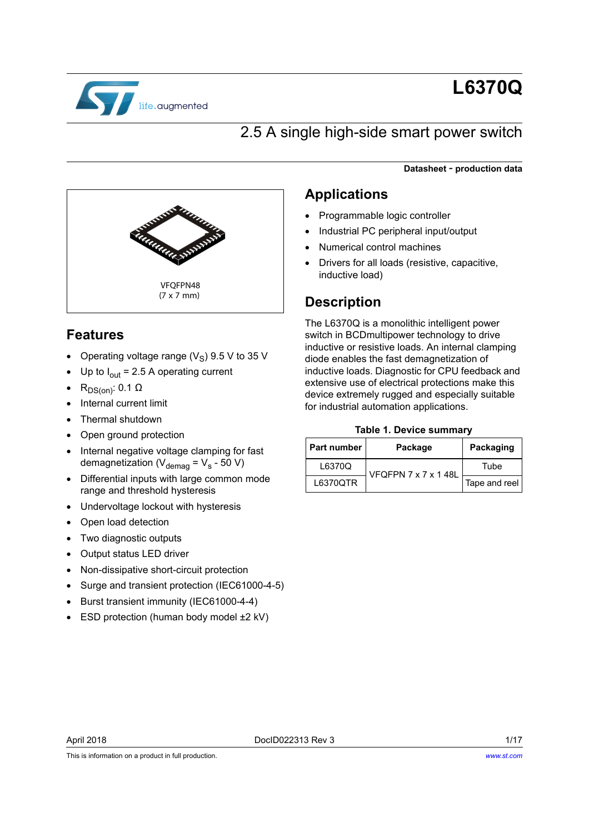

# **L6370Q**

## 2.5 A single high-side smart power switch

**Datasheet** - **production data**



### **Features**

- Operating voltage range ( $V_S$ ) 9.5 V to 35 V
- Up to  $I_{out}$  = 2.5 A operating current
- $R_{DS(on)}$ : 0.1 Ω
- Internal current limit
- Thermal shutdown
- Open ground protection
- Internal negative voltage clamping for fast demagnetization ( $V_{\text{demag}} = V_{\text{s}}$  - 50 V)
- Differential inputs with large common mode range and threshold hysteresis
- Undervoltage lockout with hysteresis
- Open load detection
- Two diagnostic outputs
- Output status LED driver
- Non-dissipative short-circuit protection
- Surge and transient protection (IEC61000-4-5)
- Burst transient immunity (IEC61000-4-4)
- ESD protection (human body model ±2 kV)

### **Applications**

- Programmable logic controller
- Industrial PC peripheral input/output
- Numerical control machines
- Drivers for all loads (resistive, capacitive, inductive load)

### **Description**

The L6370Q is a monolithic intelligent power switch in BCDmultipower technology to drive inductive or resistive loads. An internal clamping diode enables the fast demagnetization of inductive loads. Diagnostic for CPU feedback and extensive use of electrical protections make this device extremely rugged and especially suitable for industrial automation applications.

#### **Table 1. Device summary**

| <b>Part number</b> | Package              | Packaging     |
|--------------------|----------------------|---------------|
| L6370Q             | VFQFPN 7 x 7 x 1 48L | Tube          |
| L6370QTR           |                      | Tape and reel |

This is information on a product in full production.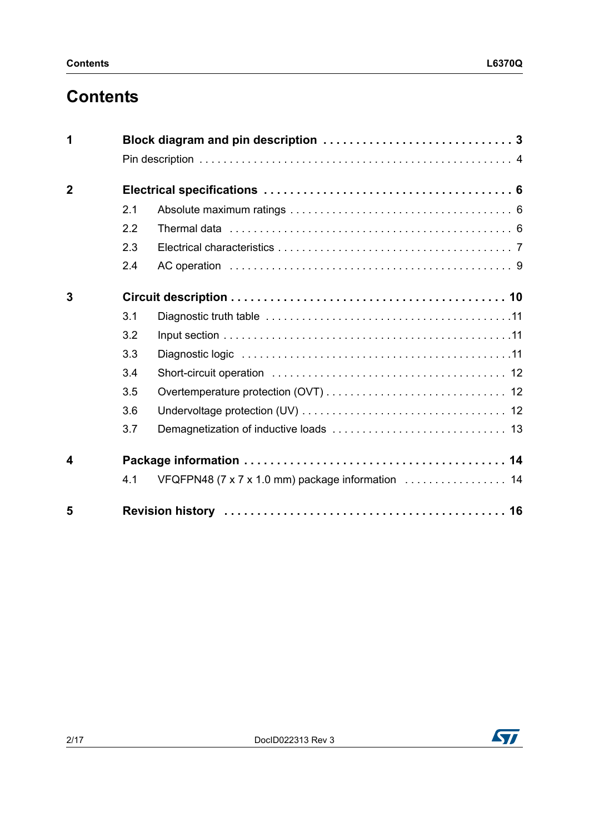# **Contents**

| 1              |     |                                                   |
|----------------|-----|---------------------------------------------------|
|                |     |                                                   |
| $\overline{2}$ |     |                                                   |
|                | 2.1 |                                                   |
|                | 2.2 |                                                   |
|                | 2.3 |                                                   |
|                | 2.4 |                                                   |
| 3              |     |                                                   |
|                | 3.1 |                                                   |
|                | 3.2 |                                                   |
|                | 3.3 |                                                   |
|                | 3.4 |                                                   |
|                | 3.5 |                                                   |
|                | 3.6 |                                                   |
|                | 3.7 |                                                   |
| 4              |     |                                                   |
|                | 4.1 | VFQFPN48 (7 x 7 x 1.0 mm) package information  14 |
| 5              |     |                                                   |

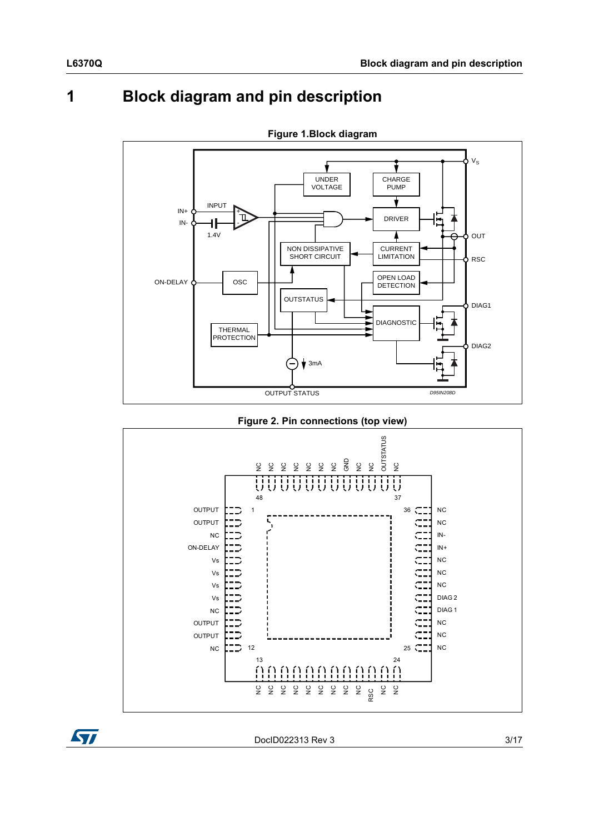# <span id="page-2-0"></span>**1 Block diagram and pin description**



**Figure 1.Block diagram**







DocID022313 Rev 3 3/17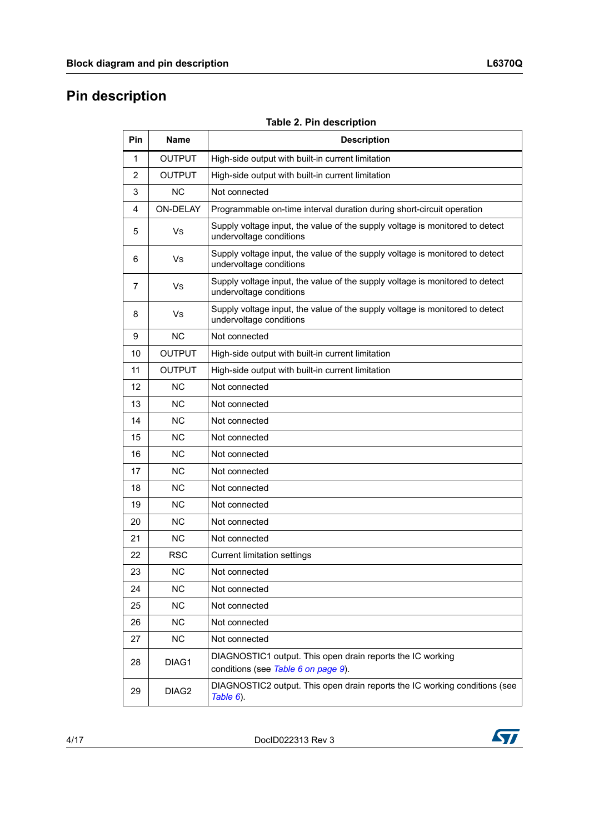# <span id="page-3-0"></span>**Pin description**

| <b>Table 2. Pin description</b> |  |  |  |
|---------------------------------|--|--|--|
|                                 |  |  |  |

| Pin | <b>Name</b>       | <b>Description</b>                                                                                      |
|-----|-------------------|---------------------------------------------------------------------------------------------------------|
| 1   | <b>OUTPUT</b>     | High-side output with built-in current limitation                                                       |
| 2   | OUTPUT            | High-side output with built-in current limitation                                                       |
| 3   | <b>NC</b>         | Not connected                                                                                           |
| 4   | <b>ON-DELAY</b>   | Programmable on-time interval duration during short-circuit operation                                   |
| 5   | Vs                | Supply voltage input, the value of the supply voltage is monitored to detect<br>undervoltage conditions |
| 6   | Vs                | Supply voltage input, the value of the supply voltage is monitored to detect<br>undervoltage conditions |
| 7   | Vs                | Supply voltage input, the value of the supply voltage is monitored to detect<br>undervoltage conditions |
| 8   | Vs                | Supply voltage input, the value of the supply voltage is monitored to detect<br>undervoltage conditions |
| 9   | <b>NC</b>         | Not connected                                                                                           |
| 10  | <b>OUTPUT</b>     | High-side output with built-in current limitation                                                       |
| 11  | <b>OUTPUT</b>     | High-side output with built-in current limitation                                                       |
| 12  | <b>NC</b>         | Not connected                                                                                           |
| 13  | <b>NC</b>         | Not connected                                                                                           |
| 14  | <b>NC</b>         | Not connected                                                                                           |
| 15  | <b>NC</b>         | Not connected                                                                                           |
| 16  | <b>NC</b>         | Not connected                                                                                           |
| 17  | <b>NC</b>         | Not connected                                                                                           |
| 18  | <b>NC</b>         | Not connected                                                                                           |
| 19  | <b>NC</b>         | Not connected                                                                                           |
| 20  | <b>NC</b>         | Not connected                                                                                           |
| 21  | <b>NC</b>         | Not connected                                                                                           |
| 22  | <b>RSC</b>        | <b>Current limitation settings</b>                                                                      |
| 23  | NC.               | Not connected                                                                                           |
| 24  | <b>NC</b>         | Not connected                                                                                           |
| 25  | <b>NC</b>         | Not connected                                                                                           |
| 26  | <b>NC</b>         | Not connected                                                                                           |
| 27  | <b>NC</b>         | Not connected                                                                                           |
| 28  | DIAG1             | DIAGNOSTIC1 output. This open drain reports the IC working<br>conditions (see Table 6 on page 9).       |
| 29  | DIAG <sub>2</sub> | DIAGNOSTIC2 output. This open drain reports the IC working conditions (see<br>Table 6).                 |

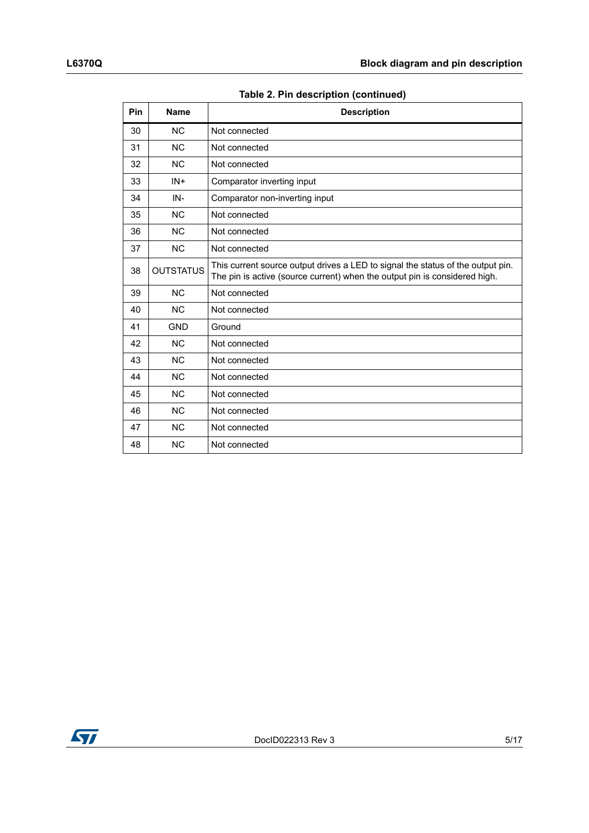|  | Table 2. Pin description (continued) |  |
|--|--------------------------------------|--|
|  |                                      |  |

| Pin | <b>Name</b>      | <b>Description</b>                                                                                                                                            |
|-----|------------------|---------------------------------------------------------------------------------------------------------------------------------------------------------------|
| 30  | <b>NC</b>        | Not connected                                                                                                                                                 |
| 31  | <b>NC</b>        | Not connected                                                                                                                                                 |
| 32  | <b>NC</b>        | Not connected                                                                                                                                                 |
| 33  | $IN +$           | Comparator inverting input                                                                                                                                    |
| 34  | IN-              | Comparator non-inverting input                                                                                                                                |
| 35  | <b>NC</b>        | Not connected                                                                                                                                                 |
| 36  | <b>NC</b>        | Not connected                                                                                                                                                 |
| 37  | <b>NC</b>        | Not connected                                                                                                                                                 |
| 38  | <b>OUTSTATUS</b> | This current source output drives a LED to signal the status of the output pin.<br>The pin is active (source current) when the output pin is considered high. |
| 39  | <b>NC</b>        | Not connected                                                                                                                                                 |
| 40  | <b>NC</b>        | Not connected                                                                                                                                                 |
| 41  | <b>GND</b>       | Ground                                                                                                                                                        |
| 42  | <b>NC</b>        | Not connected                                                                                                                                                 |
| 43  | <b>NC</b>        | Not connected                                                                                                                                                 |
| 44  | <b>NC</b>        | Not connected                                                                                                                                                 |
| 45  | <b>NC</b>        | Not connected                                                                                                                                                 |
| 46  | <b>NC</b>        | Not connected                                                                                                                                                 |
| 47  | <b>NC</b>        | Not connected                                                                                                                                                 |
| 48  | <b>NC</b>        | Not connected                                                                                                                                                 |

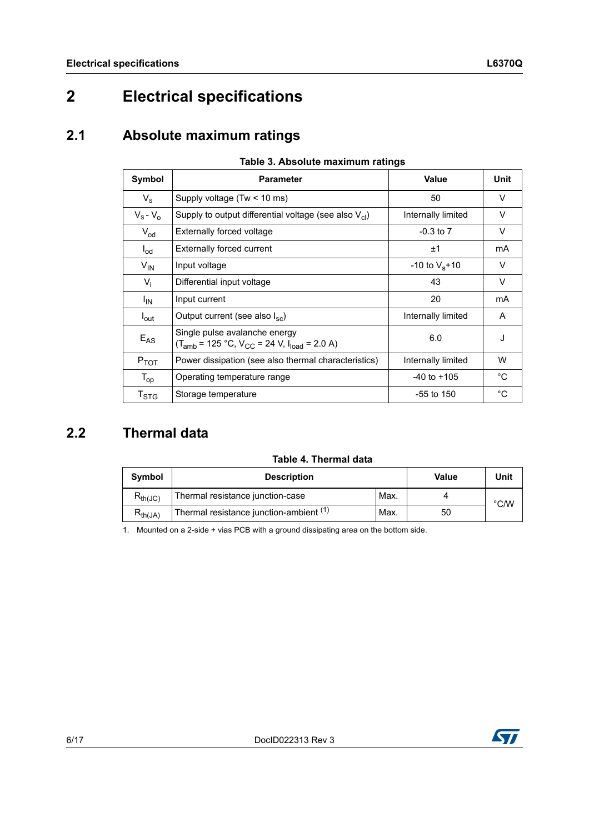# <span id="page-5-0"></span>**2 Electrical specifications**

## <span id="page-5-1"></span>**2.1 Absolute maximum ratings**

<span id="page-5-3"></span>

| Symbol                     | <b>Parameter</b>                                                                       | <b>Value</b>        | Unit        |  |  |
|----------------------------|----------------------------------------------------------------------------------------|---------------------|-------------|--|--|
| $V_{\rm S}$                | Supply voltage (Tw < 10 ms)                                                            | 50                  | V           |  |  |
| $V_{\rm s}$ - $V_{\rm o}$  | Supply to output differential voltage (see also $V_{cl}$ )                             | Internally limited  | V           |  |  |
| $V_{od}$                   | <b>Externally forced voltage</b>                                                       | $-0.3$ to $7$       | V           |  |  |
| $I_{\text{od}}$            | <b>Externally forced current</b>                                                       | ±1                  | mA          |  |  |
| $V_{IN}$                   | Input voltage                                                                          | $-10$ to $V_s + 10$ | V           |  |  |
| $V_i$                      | Differential input voltage                                                             | 43                  | $\vee$      |  |  |
| $I_{IN}$                   | Input current                                                                          | 20                  | mA          |  |  |
| l <sub>out</sub>           | Output current (see also $I_{\rm sc}$ )                                                | Internally limited  | A           |  |  |
| $E_{AS}$                   | Single pulse avalanche energy<br>$(T_{amb} = 125 °C, V_{CC} = 24 V, I_{load} = 2.0 A)$ | 6.0                 | J           |  |  |
| $P_{TOT}$                  | Power dissipation (see also thermal characteristics)                                   | Internally limited  | W           |  |  |
| $T_{op}$                   | Operating temperature range                                                            | $-40$ to $+105$     | $^{\circ}C$ |  |  |
| $T_{\footnotesize\rm STG}$ | Storage temperature                                                                    | $-55$ to 150        | $^{\circ}C$ |  |  |

#### **Table 3. Absolute maximum ratings**

## <span id="page-5-2"></span>**2.2 Thermal data**

| Table 4. Thermal data |  |
|-----------------------|--|
|-----------------------|--|

| <b>Symbol</b> | <b>Description</b>                                 | Value | Unit |               |
|---------------|----------------------------------------------------|-------|------|---------------|
| $R_{th(JC)}$  | Thermal resistance junction-case                   | Max.  |      | $\degree$ C/W |
| $R_{th(JA)}$  | Thermal resistance junction-ambient <sup>(1)</sup> | Max.  | 50   |               |

1. Mounted on a 2-side + vias PCB with a ground dissipating area on the bottom side.

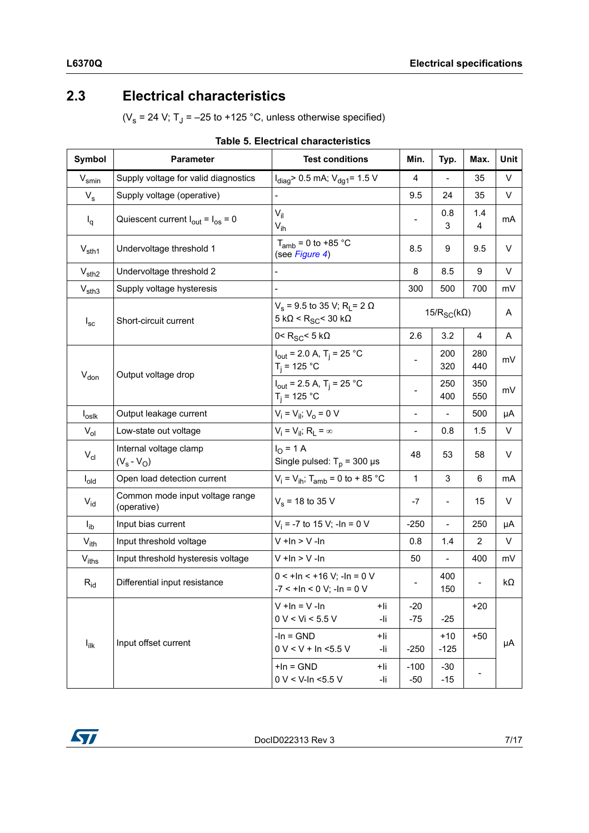## <span id="page-6-0"></span>**2.3 Electrical characteristics**

( $V_s$  = 24 V; T<sub>J</sub> = -25 to +125 °C, unless otherwise specified)

| Symbol            | <b>Parameter</b>                                       | <b>Test conditions</b>                                                                   | Min.                       | Typ.                     | Max.           | Unit |
|-------------------|--------------------------------------------------------|------------------------------------------------------------------------------------------|----------------------------|--------------------------|----------------|------|
| $V_{smin}$        | Supply voltage for valid diagnostics                   | $I_{\text{diag}}$ 0.5 mA; $V_{\text{dg1}}$ = 1.5 V                                       | $\overline{4}$             |                          | 35             | V    |
| $V_{\rm s}$       | Supply voltage (operative)                             |                                                                                          | 9.5                        | 24                       | 35             | V    |
| $I_q$             | Quiescent current $I_{\text{out}} = I_{\text{os}} = 0$ | $V_{il}$<br>$V_{ih}$                                                                     |                            | 0.8<br>3                 | 1.4<br>4       | mA   |
| $V_{\text{sth1}}$ | Undervoltage threshold 1                               | $T_{amb}$ = 0 to +85 °C<br>(see Figure 4)                                                | 8.5                        | 9                        | 9.5            | V    |
| $V_{\text{sth2}}$ | Undervoltage threshold 2                               |                                                                                          | 8                          | 8.5                      | 9              | V    |
| $V_{\text{sth3}}$ | Supply voltage hysteresis                              |                                                                                          | 300                        | 500                      | 700            | mV   |
| $I_{\rm sc}$      | Short-circuit current                                  | $V_s$ = 9.5 to 35 V; R <sub>L</sub> = 2 $\Omega$<br>$5 k\Omega < R_{SC}$ < 30 k $\Omega$ | 15/ $R_{SC}$ (k $\Omega$ ) |                          | A              |      |
|                   |                                                        | 0< $R_{SC}$ < 5 k $\Omega$                                                               | 2.6                        | 3.2                      | 4              | Α    |
|                   |                                                        | $I_{out}$ = 2.0 A, T <sub>i</sub> = 25 °C<br>$T_i = 125 °C$                              | -                          | 200<br>320               | 280<br>440     | mV   |
| $V_{don}$         | Output voltage drop                                    | $I_{\text{out}}$ = 2.5 A, T <sub>i</sub> = 25 °C<br>$T_i = 125 °C$                       | $\overline{\phantom{a}}$   | 250<br>400               | 350<br>550     | mV   |
| $I_{\text{oslk}}$ | Output leakage current                                 | $V_i = V_{ii}$ ; $V_o = 0$ V                                                             | $\blacksquare$             | $\frac{1}{2}$            | 500            | μA   |
| $V_{ol}$          | Low-state out voltage                                  | $V_i = V_{ii}$ ; R <sub>L</sub> = $\infty$                                               | $\frac{1}{2}$              | 0.8                      | 1.5            | V    |
| $V_{\text{cl}}$   | Internal voltage clamp<br>$(V_s - V_O)$                | $I_{\Omega}$ = 1 A<br>Single pulsed: $T_p$ = 300 µs                                      | 48                         | 53                       | 58             | V    |
| $I_{old}$         | Open load detection current                            | $V_i = V_{ih}$ ; T <sub>amb</sub> = 0 to + 85 °C                                         | 1                          | 3                        | 6              | mA   |
| $V_{\text{id}}$   | Common mode input voltage range<br>(operative)         | $V_s$ = 18 to 35 V                                                                       | $-7$                       | $\overline{\phantom{a}}$ | 15             | V    |
| $I_{ib}$          | Input bias current                                     | $V_i$ = -7 to 15 V; -ln = 0 V                                                            | $-250$                     |                          | 250            | μA   |
| $V_{ith}$         | Input threshold voltage                                | $V + In > V - In$                                                                        | 0.8                        | 1.4                      | $\overline{2}$ | V    |
| V <sub>iths</sub> | Input threshold hysteresis voltage                     | $V + In > V - In$                                                                        | 50                         |                          | 400            | mV   |
| $R_{\text{id}}$   | Differential input resistance                          | $0 < +1n < +16$ V; $-1n = 0$ V<br>$-7 < +1n < 0 V$ ; $-1n = 0 V$                         |                            | 400<br>150               |                | kΩ   |
|                   |                                                        | $V + In = V - In$<br>+li<br>0 V < Vi < 5.5 V<br>-li                                      | $-20$<br>$-75$             | $-25$                    | $+20$          |      |
| $I_{\text{ilk}}$  | Input offset current                                   | $-In = GND$<br>+li<br>$0 V < V + In < 5.5 V$<br>-li                                      | $-250$                     | $+10$<br>$-125$          | $+50$          | μA   |
|                   |                                                        | $+$ In = GND<br>+li<br>$0 V < V$ -In <5.5 V<br>-li                                       | $-100$<br>$-50$            | $-30$<br>$-15$           |                |      |

#### **Table 5. Electrical characteristics**

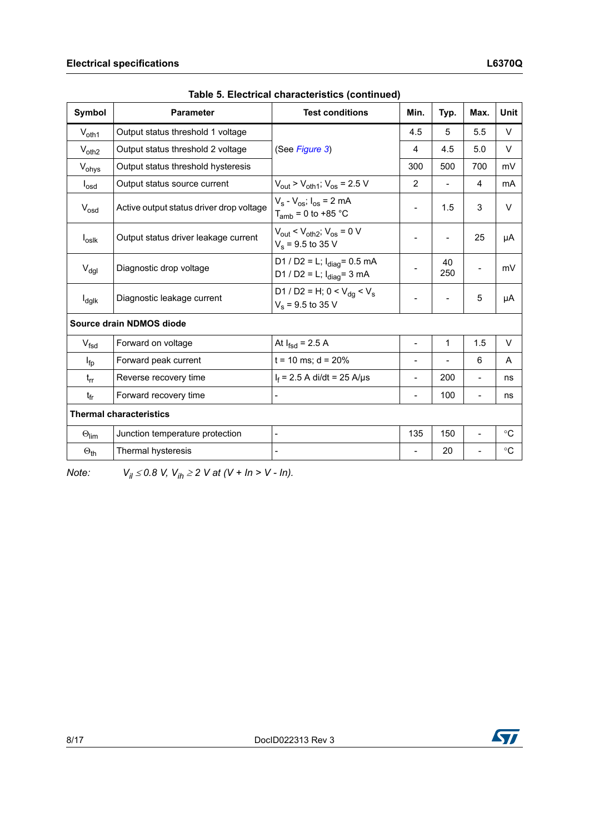| <b>Symbol</b>        | <b>Parameter</b>                         | <b>Test conditions</b>                                                              | Min.                     | Typ.                     | Max.                     | <b>Unit</b>    |
|----------------------|------------------------------------------|-------------------------------------------------------------------------------------|--------------------------|--------------------------|--------------------------|----------------|
| $V_{\text{oth1}}$    | Output status threshold 1 voltage        |                                                                                     | 4.5                      | 5                        | 5.5                      | V              |
| $V_{\text{oth2}}$    | Output status threshold 2 voltage        | (See Figure 3)                                                                      | 4                        | 4.5                      | 5.0                      | V              |
| V <sub>ohys</sub>    | Output status threshold hysteresis       |                                                                                     | 300                      | 500                      | 700                      | mV             |
| $I_{\text{osd}}$     | Output status source current             | $V_{\text{out}}$ > $V_{\text{oth1}}$ ; $V_{\text{os}}$ = 2.5 V                      | $\overline{2}$           | $\overline{\phantom{a}}$ | 4                        | m <sub>A</sub> |
| $V_{\text{osd}}$     | Active output status driver drop voltage | $V_s - V_{os}$ ; $I_{os} = 2$ mA<br>$T_{amb}$ = 0 to +85 °C                         | $\overline{\phantom{a}}$ | 1.5                      | 3                        | V              |
| $I_{oslk}$           | Output status driver leakage current     | $V_{\text{out}}$ < $V_{\text{oth2}}$ ; $V_{\text{os}}$ = 0 V<br>$V_s$ = 9.5 to 35 V | $\overline{\phantom{a}}$ | $\overline{\phantom{a}}$ | 25                       | μA             |
| $V_{\text{dgl}}$     | Diagnostic drop voltage                  | D1 / D2 = L; $I_{\text{diag}}$ = 0.5 mA<br>D1 / D2 = L; $I_{diag}$ = 3 mA           |                          | 40<br>250                |                          | mV             |
| $I_{\text{dglk}}$    | Diagnostic leakage current               | D1 / D2 = H; 0 < $V_{dq}$ < $V_s$<br>$V_s$ = 9.5 to 35 V                            |                          |                          | 5                        | μA             |
|                      | Source drain NDMOS diode                 |                                                                                     |                          |                          |                          |                |
| $V_{\text{fsd}}$     | Forward on voltage                       | At $I_{fsd}$ = 2.5 A                                                                |                          | 1                        | 1.5                      | V              |
| $I_{\text{fp}}$      | Forward peak current                     | $t = 10$ ms; $d = 20%$                                                              | $\overline{\phantom{a}}$ |                          | 6                        | A              |
| $t_{rr}$             | Reverse recovery time                    | $I_f$ = 2.5 A di/dt = 25 A/µs                                                       |                          | 200                      |                          | ns             |
| $t_{fr}$             | Forward recovery time                    |                                                                                     |                          | 100                      | $\overline{\phantom{0}}$ | ns             |
|                      | <b>Thermal characteristics</b>           |                                                                                     |                          |                          |                          |                |
| $\Theta$ lim         | Junction temperature protection          | $\overline{a}$                                                                      | 135                      | 150                      | $\overline{a}$           | $^{\circ}C$    |
| $\Theta_{\text{th}}$ | Thermal hysteresis                       |                                                                                     |                          | 20                       |                          | $^{\circ}C$    |

| Table 5. Electrical characteristics (continued) |  |
|-------------------------------------------------|--|
|-------------------------------------------------|--|

*Note:*  $V_{il} \le 0.8 \text{ V}$ ,  $V_{ih} \ge 2 \text{ V}$  at  $(V + ln > V - ln)$ .

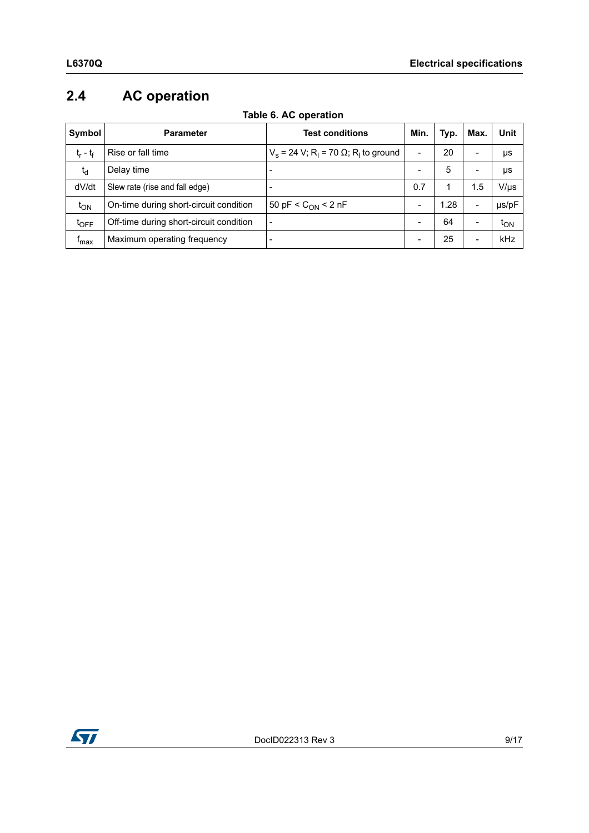# <span id="page-8-0"></span>**2.4 AC operation**

<span id="page-8-1"></span>

| Symbol           | <b>Parameter</b>                        | <b>Test conditions</b>                                                | Min.                     | Typ. | Max.                     | <b>Unit</b> |
|------------------|-----------------------------------------|-----------------------------------------------------------------------|--------------------------|------|--------------------------|-------------|
| $t_r - t_f$      | Rise or fall time                       | $V_s$ = 24 V; R <sub>1</sub> = 70 $\Omega$ ; R <sub>1</sub> to ground | $\blacksquare$           | 20   | -                        | μs          |
| $t_d$            | Delay time                              |                                                                       | $\overline{\phantom{a}}$ | 5    | -                        | μs          |
| dV/dt            | Slew rate (rise and fall edge)          | $\overline{\phantom{0}}$                                              | 0.7                      |      | 1.5                      | V/µs        |
| $t_{ON}$         | On-time during short-circuit condition  | 50 pF < $C_{ON}$ < 2 nF                                               |                          | 1.28 | -                        | µs/pF       |
| $t_{\text{OFF}}$ | Off-time during short-circuit condition | $\overline{a}$                                                        | $\overline{\phantom{0}}$ | 64   | $\overline{\phantom{0}}$ | ιον         |
| <sup>I</sup> max | Maximum operating frequency             | $\overline{\phantom{0}}$                                              | $\overline{\phantom{0}}$ | 25   | -                        | kHz         |

#### **Table 6. AC operation**

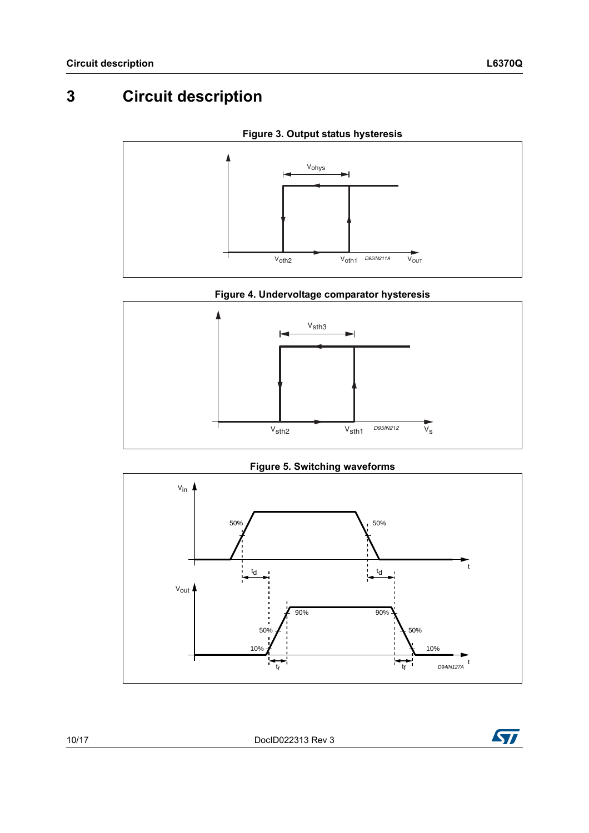# <span id="page-9-0"></span>**3 Circuit description**

<span id="page-9-2"></span>

**Figure 3. Output status hysteresis**

<span id="page-9-1"></span>

**Figure 5. Switching waveforms**



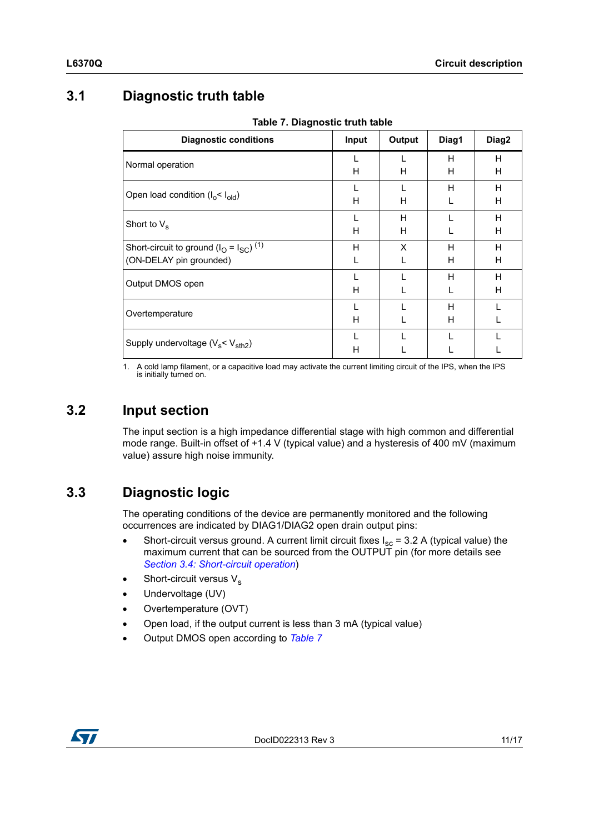## <span id="page-10-0"></span>**3.1 Diagnostic truth table**

<span id="page-10-3"></span>

| <b>Diagnostic conditions</b>                        | Input | Output | Diag1 | Diag2 |
|-----------------------------------------------------|-------|--------|-------|-------|
| Normal operation                                    |       |        | H     | н     |
|                                                     | н     | н      | Н     | н     |
|                                                     |       |        | H     | H     |
| Open load condition $(I_0 < I_{old})$               | н     | H      |       | H     |
|                                                     |       | Н      |       | H     |
| Short to $V_s$                                      | н     | Н      |       | H     |
| Short-circuit to ground $(IO = ISC)$ <sup>(1)</sup> | H     | X      | H     | H     |
| (ON-DELAY pin grounded)                             |       |        | H     | H     |
| Output DMOS open                                    |       |        | H     | H     |
|                                                     | н     |        |       | н     |
|                                                     |       |        | Н     |       |
| Overtemperature                                     | H     |        | н     |       |
|                                                     |       |        |       |       |
| Supply undervoltage $(V_s < V_{sth2})$              | н     |        |       |       |

**Table 7. Diagnostic truth table**

1. A cold lamp filament, or a capacitive load may activate the current limiting circuit of the IPS, when the IPS is initially turned on.

### <span id="page-10-1"></span>**3.2 Input section**

The input section is a high impedance differential stage with high common and differential mode range. Built-in offset of +1.4 V (typical value) and a hysteresis of 400 mV (maximum value) assure high noise immunity.

## <span id="page-10-2"></span>**3.3 Diagnostic logic**

The operating conditions of the device are permanently monitored and the following occurrences are indicated by DIAG1/DIAG2 open drain output pins:

- Short-circuit versus ground. A current limit circuit fixes  $I_{sc}$  = 3.2 A (typical value) the maximum current that can be sourced from the OUTPUT pin (for more details see *[Section 3.4: Short-circuit operation](#page-11-0)*)
- Short-circuit versus  $V_s$
- Undervoltage (UV)
- Overtemperature (OVT)
- Open load, if the output current is less than 3 mA (typical value)
- Output DMOS open according to *[Table 7](#page-10-3)*

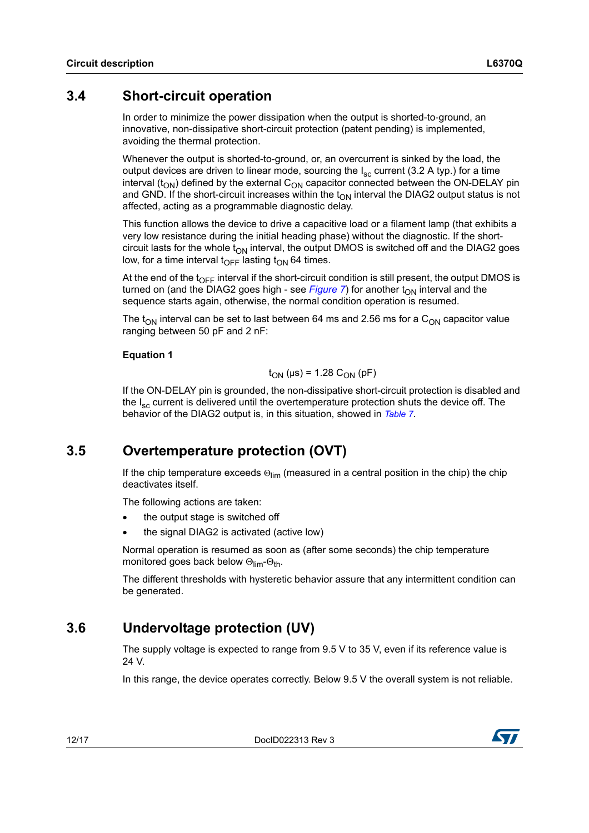### <span id="page-11-0"></span>**3.4 Short-circuit operation**

In order to minimize the power dissipation when the output is shorted-to-ground, an innovative, non-dissipative short-circuit protection (patent pending) is implemented, avoiding the thermal protection.

Whenever the output is shorted-to-ground, or, an overcurrent is sinked by the load, the output devices are driven to linear mode, sourcing the  $I_{\rm sc}$  current (3.2 A typ.) for a time interval  $(t_{ON})$  defined by the external  $C_{ON}$  capacitor connected between the ON-DELAY pin and GND. If the short-circuit increases within the  $t_{ON}$  interval the DIAG2 output status is not affected, acting as a programmable diagnostic delay.

This function allows the device to drive a capacitive load or a filament lamp (that exhibits a very low resistance during the initial heading phase) without the diagnostic. If the shortcircuit lasts for the whole  $t_{ON}$  interval, the output DMOS is switched off and the DIAG2 goes low, for a time interval t<sub>OFF</sub> lasting t<sub>ON</sub> 64 times.

At the end of the  $t_{\text{OFF}}$  interval if the short-circuit condition is still present, the output DMOS is turned on (and the DIAG2 goes high - see *[Figure 7](#page-12-1)*) for another  $t_{ON}$  interval and the sequence starts again, otherwise, the normal condition operation is resumed.

The t<sub>ON</sub> interval can be set to last between 64 ms and 2.56 ms for a C<sub>ON</sub> capacitor value ranging between 50 pF and 2 nF:

#### **Equation 1**

#### $t_{ON}$  (μs) = 1.28 C<sub>ON</sub> (pF)

If the ON-DELAY pin is grounded, the non-dissipative short-circuit protection is disabled and the  $I_{\rm sc}$  current is delivered until the overtemperature protection shuts the device off. The behavior of the DIAG2 output is, in this situation, showed in *[Table 7](#page-10-3)*.

### <span id="page-11-1"></span>**3.5 Overtemperature protection (OVT)**

If the chip temperature exceeds  $\Theta_{\lim}$  (measured in a central position in the chip) the chip deactivates itself.

The following actions are taken:

- the output stage is switched off
- the signal DIAG2 is activated (active low)

Normal operation is resumed as soon as (after some seconds) the chip temperature monitored goes back below  $\Theta_{\text{lim}}\text{-}\Theta_{\text{th}}$ .

The different thresholds with hysteretic behavior assure that any intermittent condition can be generated.

### <span id="page-11-2"></span>**3.6 Undervoltage protection (UV)**

The supply voltage is expected to range from 9.5 V to 35 V, even if its reference value is 24 V.

In this range, the device operates correctly. Below 9.5 V the overall system is not reliable.

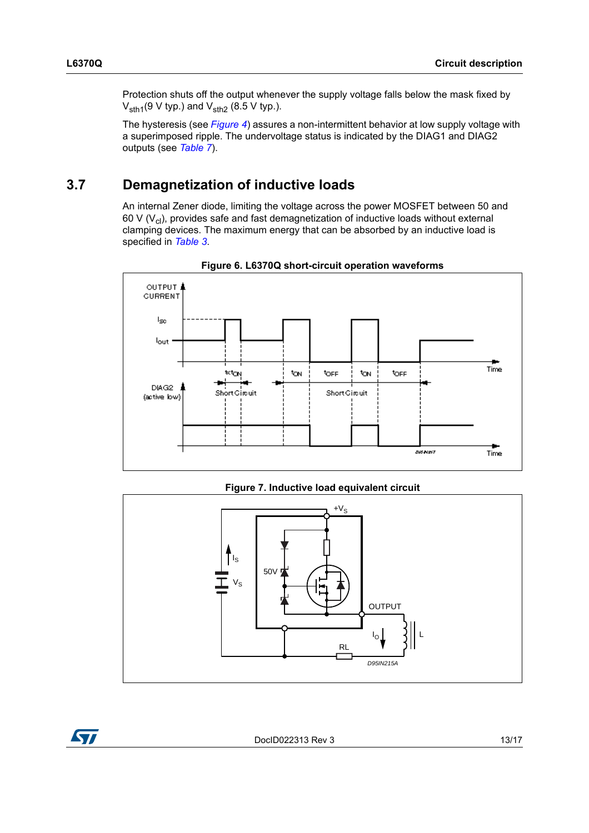Protection shuts off the output whenever the supply voltage falls below the mask fixed by  $V_{\text{sth1}}(9 \text{ V typ.})$  and  $V_{\text{sth2}}(8.5 \text{ V typ.})$ .

The hysteresis (see *[Figure 4](#page-9-1)*) assures a non-intermittent behavior at low supply voltage with a superimposed ripple. The undervoltage status is indicated by the DIAG1 and DIAG2 outputs (see *[Table 7](#page-10-3)*).

## <span id="page-12-0"></span>**3.7 Demagnetization of inductive loads**

An internal Zener diode, limiting the voltage across the power MOSFET between 50 and 60 V  $(V_{cl})$ , provides safe and fast demagnetization of inductive loads without external clamping devices. The maximum energy that can be absorbed by an inductive load is specified in *[Table 3](#page-5-3)*.



**Figure 6. L6370Q short-circuit operation waveforms**

**Figure 7. Inductive load equivalent circuit**

<span id="page-12-1"></span>

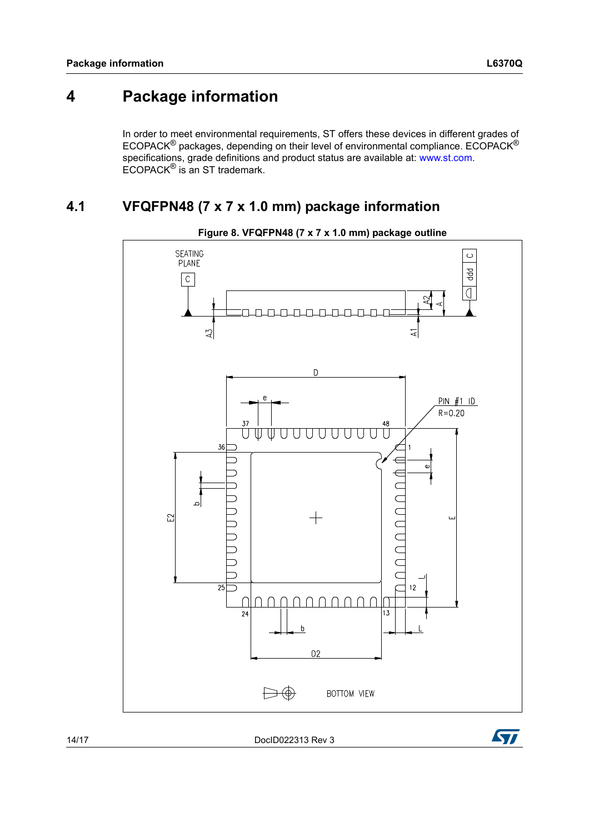# <span id="page-13-0"></span>**4 Package information**

In order to meet environmental requirements, ST offers these devices in different grades of ECOPACK® packages, depending on their level of environmental compliance. ECOPACK® specifications, grade definitions and product status are available at: www.st.com. ECOPACK® is an ST trademark.

### <span id="page-13-1"></span>**4.1 VFQFPN48 (7 x 7 x 1.0 mm) package information**



**Figure 8. VFQFPN48 (7 x 7 x 1.0 mm) package outline**

14/17 DocID022313 Rev 3

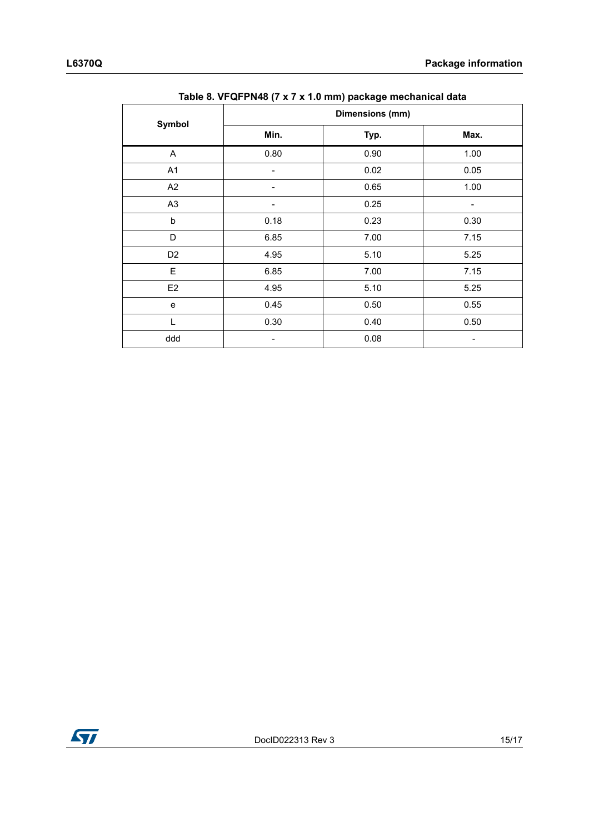|                |                 | <i>.</i><br>די סטייי |      |  |  |  |
|----------------|-----------------|----------------------|------|--|--|--|
| Symbol         | Dimensions (mm) |                      |      |  |  |  |
|                | Min.            | Typ.                 | Max. |  |  |  |
| A              | 0.80            | 0.90                 | 1.00 |  |  |  |
| A1             |                 | 0.02                 | 0.05 |  |  |  |
| A2             |                 | 0.65                 | 1.00 |  |  |  |
| A <sub>3</sub> |                 | 0.25                 | -    |  |  |  |
| b              | 0.18            | 0.23                 | 0.30 |  |  |  |
| D              | 6.85            | 7.00                 | 7.15 |  |  |  |
| D <sub>2</sub> | 4.95            | 5.10                 | 5.25 |  |  |  |
| E              | 6.85            | 7.00                 | 7.15 |  |  |  |
| E <sub>2</sub> | 4.95            | 5.10                 | 5.25 |  |  |  |
| e              | 0.45            | 0.50                 | 0.55 |  |  |  |
| L              | 0.30            | 0.40                 | 0.50 |  |  |  |
| ddd            |                 | 0.08                 |      |  |  |  |
|                |                 |                      |      |  |  |  |

**Table 8. VFQFPN48 (7 x 7 x 1.0 mm) package mechanical data**

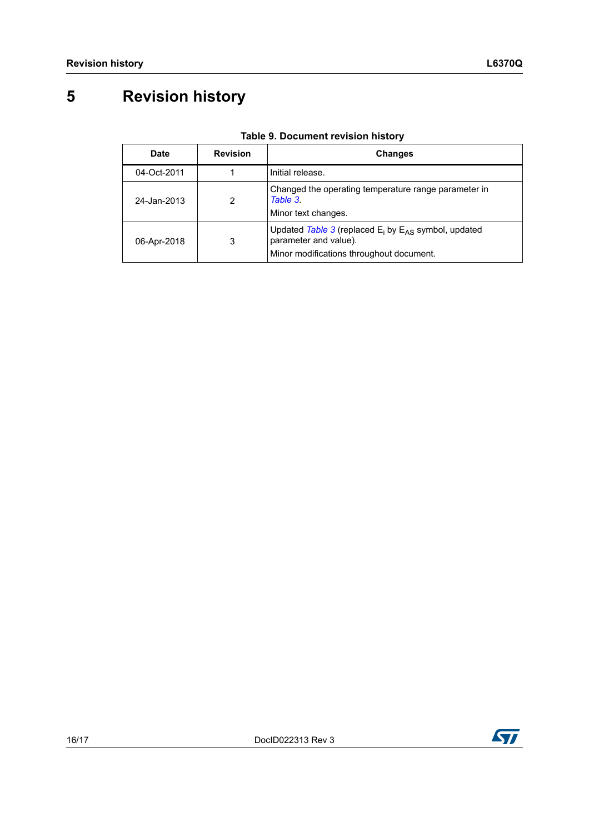# <span id="page-15-0"></span>**5 Revision history**

| Date        | <b>Revision</b> | <b>Changes</b>                                                                                                                   |
|-------------|-----------------|----------------------------------------------------------------------------------------------------------------------------------|
| 04-Oct-2011 |                 | Initial release.                                                                                                                 |
| 24-Jan-2013 | 2               | Changed the operating temperature range parameter in<br>Table 3.<br>Minor text changes.                                          |
| 06-Apr-2018 | 3               | Updated Table 3 (replaced $E_i$ by $E_{AS}$ symbol, updated<br>parameter and value).<br>Minor modifications throughout document. |

| <b>Table 9. Document revision history</b> |  |  |  |  |
|-------------------------------------------|--|--|--|--|
|-------------------------------------------|--|--|--|--|